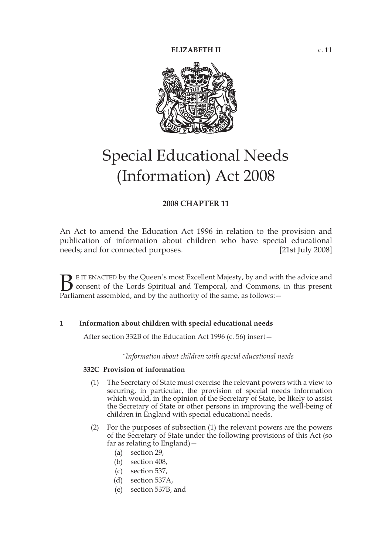

# Special Educational Needs (Information) Act 2008

## **2008 CHAPTER 11**

An Act to amend the Education Act 1996 in relation to the provision and publication of information about children who have special educational needs; and for connected purposes. [21st July 2008]

E IT ENACTED by the Queen's most Excellent Majesty, by and with the advice and consent of the Lords Spiritual and Temporal, and Commons, in this present **B** E IT ENACTED by the Queen's most Excellent Majesty, by and with consent of the Lords Spiritual and Temporal, and Commons, Parliament assembled, and by the authority of the same, as follows:  $-$ 

## **1 Information about children with special educational needs**

After section 332B of the Education Act 1996 (c. 56) insert—

*"Information about children with special educational needs*

## **332C Provision of information**

- (1) The Secretary of State must exercise the relevant powers with a view to securing, in particular, the provision of special needs information which would, in the opinion of the Secretary of State, be likely to assist the Secretary of State or other persons in improving the well-being of children in England with special educational needs.
- (2) For the purposes of subsection (1) the relevant powers are the powers of the Secretary of State under the following provisions of this Act (so far as relating to England)—
	- (a) section 29,
	- (b) section 408,
	- (c) section 537,
	- (d) section 537A,
	- (e) section 537B, and